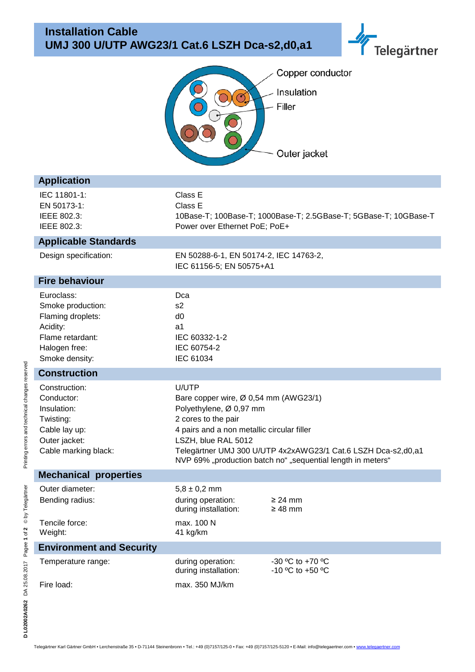



| <b>Application</b>                                                                                                      |                                                                                                                                                                                                                                                                                                       |                                      |  |
|-------------------------------------------------------------------------------------------------------------------------|-------------------------------------------------------------------------------------------------------------------------------------------------------------------------------------------------------------------------------------------------------------------------------------------------------|--------------------------------------|--|
| IEC 11801-1:<br>EN 50173-1:<br>IEEE 802.3:<br>IEEE 802.3:                                                               | Class E<br>Class E<br>10Base-T; 100Base-T; 1000Base-T; 2.5GBase-T; 5GBase-T; 10GBase-T<br>Power over Ethernet PoE; PoE+                                                                                                                                                                               |                                      |  |
| <b>Applicable Standards</b>                                                                                             |                                                                                                                                                                                                                                                                                                       |                                      |  |
| Design specification:                                                                                                   | EN 50288-6-1, EN 50174-2, IEC 14763-2,<br>IEC 61156-5; EN 50575+A1                                                                                                                                                                                                                                    |                                      |  |
| <b>Fire behaviour</b>                                                                                                   |                                                                                                                                                                                                                                                                                                       |                                      |  |
| Euroclass:<br>Smoke production:<br>Flaming droplets:<br>Acidity:<br>Flame retardant:<br>Halogen free:<br>Smoke density: | Dca<br>s <sub>2</sub><br>d <sub>0</sub><br>a1<br>IEC 60332-1-2<br>IEC 60754-2<br>IEC 61034                                                                                                                                                                                                            |                                      |  |
| <b>Construction</b>                                                                                                     |                                                                                                                                                                                                                                                                                                       |                                      |  |
| Construction:<br>Conductor:<br>Insulation:<br>Twisting:<br>Cable lay up:<br>Outer jacket:<br>Cable marking black:       | U/UTP<br>Bare copper wire, Ø 0,54 mm (AWG23/1)<br>Polyethylene, Ø 0,97 mm<br>2 cores to the pair<br>4 pairs and a non metallic circular filler<br>LSZH, blue RAL 5012<br>Telegärtner UMJ 300 U/UTP 4x2xAWG23/1 Cat.6 LSZH Dca-s2,d0,a1<br>NVP 69% "production batch no" "sequential length in meters" |                                      |  |
| <b>Mechanical properties</b>                                                                                            |                                                                                                                                                                                                                                                                                                       |                                      |  |
| Outer diameter:<br>Bending radius:                                                                                      | $5,8 \pm 0,2$ mm<br>during operation:<br>during installation:                                                                                                                                                                                                                                         | $\geq$ 24 mm<br>$\geq 48$ mm         |  |
| Tencile force:<br>Weight:                                                                                               | max. 100 N<br>41 kg/km                                                                                                                                                                                                                                                                                |                                      |  |
| <b>Environment and Security</b>                                                                                         |                                                                                                                                                                                                                                                                                                       |                                      |  |
| Temperature range:                                                                                                      | during operation:<br>during installation:                                                                                                                                                                                                                                                             | -30 °C to +70 °C<br>-10 °C to +50 °C |  |
| Fire load:                                                                                                              | max. 350 MJ/km                                                                                                                                                                                                                                                                                        |                                      |  |